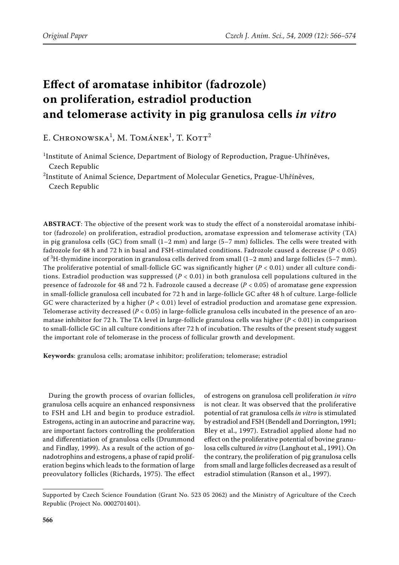# **Effect of aromatase inhibitor (fadrozole) on proliferation, estradiol production and telomerase activity in pig granulosa cells** *in vitro*

E. Chronowska<sup>1</sup>, M. Tománek<sup>1</sup>, T. Kott<sup>2</sup>

<sup>1</sup>Institute of Animal Science, Department of Biology of Reproduction, Prague-Uhříněves, Czech Republic

<sup>2</sup>Institute of Animal Science, Department of Molecular Genetics, Prague-Uhříněves, Czech Republic

**ABSTRACT**: The objective of the present work was to study the effect of a nonsteroidal aromatase inhibitor (fadrozole) on proliferation, estradiol production, aromatase expression and telomerase activity (TA) in pig granulosa cells (GC) from small  $(1-2 \text{ mm})$  and large  $(5-7 \text{ mm})$  follicles. The cells were treated with fadrozole for 48 h and 72 h in basal and FSH-stimulated conditions. Fadrozole caused a decrease (*P* < 0.05) of <sup>3</sup> H-thymidine incorporation in granulosa cells derived from small (1–2 mm) and large follicles (5–7 mm). The proliferative potential of small-follicle GC was significantly higher  $(P < 0.01)$  under all culture conditions. Estradiol production was suppressed (*P* < 0.01) in both granulosa cell populations cultured in the presence of fadrozole for 48 and 72 h. Fadrozole caused a decrease (*P* < 0.05) of aromatase gene expression in small-follicle granulosa cell incubated for 72 h and in large-follicle GC after 48 h of culture. Large-follicle GC were characterized by a higher (*P* < 0.01) level of estradiol production and aromatase gene expression. Telomerase activity decreased (*P* < 0.05) in large-follicle granulosa cells incubated in the presence of an aromatase inhibitor for 72 h. The TA level in large-follicle granulosa cells was higher  $(P < 0.01)$  in comparison to small-follicle GC in all culture conditions after 72 h of incubation. The results of the present study suggest the important role of telomerase in the process of follicular growth and development.

**Keywords**: granulosa cells; aromatase inhibitor; proliferation; telomerase; estradiol

During the growth process of ovarian follicles, granulosa cells acquire an enhanced responsivness to FSH and LH and begin to produce estradiol. Estrogens, acting in an autocrine and paracrine way, are important factors controlling the proliferation and differentiation of granulosa cells (Drummond and Findlay, 1999). As a result of the action of gonadotrophins and estrogens, a phase of rapid proliferation begins which leads to the formation of large preovulatory follicles (Richards, 1975). The effect of estrogens on granulosa cell proliferation *in vitro* is not clear. It was observed that the proliferative potential of rat granulosa cells *in vitro* is stimulated by estradiol and FSH (Bendell and Dorrington, 1991; Bley et al., 1997). Estradiol applied alone had no effect on the proliferative potential of bovine granulosa cells cultured *in vitro* (Langhout et al., 1991). On the contrary, the proliferation of pig granulosa cells from small and large follicles decreased as a result of estradiol stimulation (Ranson et al., 1997).

Supported by Czech Science Foundation (Grant No. 523 05 2062) and the Ministry of Agriculture of the Czech Republic (Project No. 0002701401).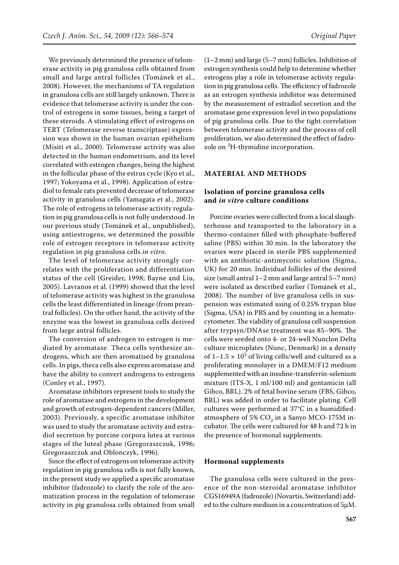We previously determined the presence of telomerase activity in pig granulosa cells obtained from small and large antral follicles (Tománek et al., 2008). However, the mechanisms of TA regulation in granulosa cells are still largely unknown. There is evidence that telomerase activity is under the control of estrogens in some tissues, being a target of these steroids. A stimulating effect of estrogens on TERT (Telomerase reverse transcriptase) expression was shown in the human ovarian epithelium (Misiti et al., 2000). Telomerase activity was also detected in the human endometrium, and its level correlated with estrogen changes, being the highest in the follicular phase of the estrus cycle (Kyo et al., 1997; Yokoyama et al., 1998). Application of estradiol to female rats prevented decrease of telomerase activity in granulosa cells (Yamagata et al., 2002). The role of estrogens in telomerase activity regulation in pig granulosa cells is not fully understood. In our previous study (Tománek et al., unpublished), using antiestrogens, we determined the possible role of estrogen receptors in telomerase activity regulation in pig granulosa cells *in vitro*.

The level of telomerase activity strongly correlates with the proliferation and differentiation status of the cell (Greider, 1998; Bayne and Liu, 2005). Lavranos et al. (1999) showed that the level of telomerase activity was highest in the granulosa cells the least differentiated in lineage (from preantral follicles). On the other hand, the activity of the enzyme was the lowest in granulosa cells derived from large antral follicles.

The conversion of androgen to estrogen is mediated by aromatase. Theca cells synthesize androgens, which are then aromatised by granulosa cells. In pigs, theca cells also express aromatase and have the ability to convert androgens to estrogens (Conley et al., 1997).

Aromatase inhibitors represent tools to study the role of aromatase and estrogens in the development and growth of estrogen-dependent cancers (Miller, 2003). Previously, a specific aromatase inhibitor was used to study the aromatase activity and estradiol secretion by porcine corpora lutea at various stages of the luteal phase (Gregoraszczuk, 1996; Gregoraszczuk and Oblonczyk, 1996).

Since the effect of estrogens on telomerase activity regulation in pig granulosa cells is not fully known, in the present study we applied a specific aromatase inhibitor (fadrozole) to clarify the role of the aromatization process in the regulation of telomerase activity in pig granulosa cells obtained from small

(1–2 mm) and large (5–7 mm) follicles. Inhibition of estrogen synthesis could help to determine whether estrogens play a role in telomerase activity regulation in pig granulosa cells. The efficiency of fadrozole as an estrogen synthesis inhibitor was determined by the measurement of estradiol secretion and the aromatase gene expression level in two populations of pig granulosa cells. Due to the tight correlation between telomerase activity and the process of cell proliferation, we also determined the effect of fadrozole on <sup>3</sup>H-thymidine incorporation.

#### **MATERIAL AND METHODS**

## **Isolation of porcine granulosa cells and** *in vitro* **culture conditions**

Porcine ovaries were collected from a local slaughterhouse and transported to the laboratory in a thermo-container filled with phosphate-buffered saline (PBS) within 30 min. In the laboratory the ovaries were placed in sterile PBS supplemented with an antibiotic-antimycotic solution (Sigma, UK) for 20 min. Individual follicles of the desired size (small antral 1–2 mm and large antral 5–7 mm) were isolated as described earlier (Tománek et al., 2008). The number of live granulosa cells in suspension was estimated using of 0.25% trypan blue (Sigma, USA) in PBS and by counting in a hematocytometer. The viability of granulosa cell suspension after trypsyn/DNAse treatment was 85–90%. The cells were seeded onto 4- or 24-well Nunclon Delta culture microplates (Nunc, Denmark) in a density of  $1-1.5 \times 10^5$  of living cells/well and cultured as a proliferating monolayer in a DMEM/F12 medium supplemented with an insuline-transferrin-selenium mixture (ITS-X, 1 ml/100 ml) and gentamicin (all Gibco, BRL). 2% of fetal bovine serum (FBS, Gibco, BRL) was added in order to facilitate plating. Cell cultures were performed at 37°C in a humidifiedatmosphere of 5%  $CO<sub>2</sub>$  in a Sanyo MCO-175M incubator. The cells were cultured for 48 h and 72 h in the presence of hormonal supplements.

#### **Hormonal supplements**

The granulosa cells were cultured in the presence of the non-steroidal aromatase inhibitor CGS16949A (fadrozole) (Novartis, Switzerland) added to the culture medium in a concentration of 5µM.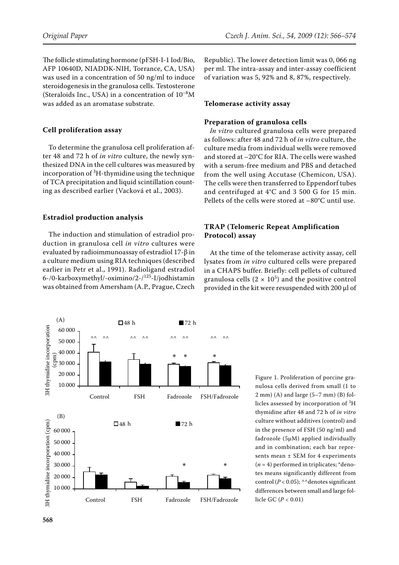The follicle stimulating hormone (pFSH-I-1 Iod/Bio, AFP 10640D, NIADDK-NIH, Torrance, CA, USA) was used in a concentration of 50 ng/ml to induce steroidogenesis in the granulosa cells. Testosterone (Steraloids Inc., USA) in a concentration of  $10^{-8}$ M was added as an aromatase substrate.

## **Cell proliferation assay**

To determine the granulosa cell proliferation after 48 and 72 h of *in vitro* culture, the newly synthesized DNA in the cell cultures was measured by incorporation of  ${}^{3}{\rm H}$ -thymidine using the technique of TCA precipitation and liquid scintillation counting as described earlier (Vacková et al., 2003).

## **Estradiol production analysis**

The induction and stimulation of estradiol production in granulosa cell *in vitro* cultures were evaluated by radioimmunoassay of estradiol 17-β in a culture medium using RIA techniques (described earlier in Petr et al., 1991). Radioligand estradiol 6-/0-karboxymethyl/-oximino/2-/125-I/jodhistamin was obtained from Amersham (A.P., Prague, Czech

Republic). The lower detection limit was 0, 066 ng per ml. The intra-assay and inter-assay coefficient of variation was 5, 92% and 8, 87%, respectively.

#### **Telomerase activity assay**

#### **Preparation of granulosa cells**

*In vitro* cultured granulosa cells were prepared as follows: after 48 and 72 h of *in vitro* culture, the culture media from individual wells were removed and stored at –20°C for RIA. The cells were washed with a serum-free medium and PBS and detached from the well using Accutase (Chemicon, USA). The cells were then transferred to Eppendorf tubes and centrifuged at 4°C and 3 500 G for 15 min. Pellets of the cells were stored at –80°C until use.

# **TRAP (Telomeric Repeat Amplification Protocol) assay**

At the time of the telomerase activity assay, cell lysates from *in vitro* cultured cells were prepared in a CHAPS buffer. Briefly: cell pellets of cultured granulosa cells  $(2 \times 10^5)$  and the positive control provided in the kit were resuspended with 200 µl of



Figure 1. Proliferation of porcine granulosa cells derived from small (1 to 2 mm) (A) and large (5–7 mm) (B) follicles assessed by incorporation of  ${}^{3}\mathrm{H}$ thymidine after 48 and 72 h of *in vitro* culture without additives (control) and in the presence of FSH (50 ng/ml) and fadrozole (5µM) applied individually and in combination; each bar represents mean ± SEM for 4 experiments  $(n = 4)$  performed in triplicates; \*denotes means significantly different from control  $(P < 0.05)$ ; ^^denotes significant differences between small and large follicle GC (*P* < 0.01)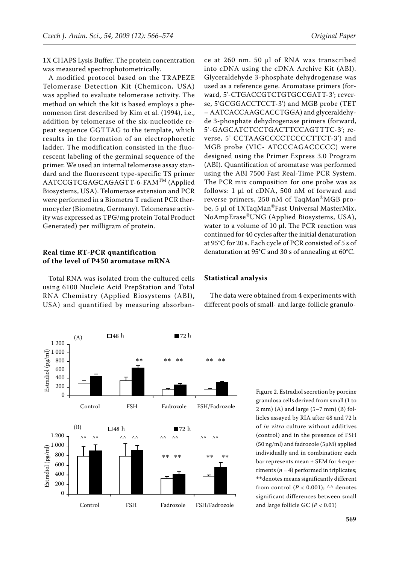1X CHAPS Lysis Buffer. The protein concentration was measured spectrophotometrically.

A modified protocol based on the TRAPEZE Telomerase Detection Kit (Chemicon, USA) was applied to evaluate telomerase activity. The method on which the kit is based employs a phenomenon first described by Kim et al. (1994), i.e., addition by telomerase of the six-nucleotide repeat sequence GGTTAG to the template, which results in the formation of an electrophoretic ladder. The modification consisted in the fluorescent labeling of the germinal sequence of the primer. We used an internal telomerase assay standard and the fluorescent type-specific TS primer AATCCGTCGAGCAGAGTT-6-FAMTM (Applied Biosystems, USA). Telomerase extension and PCR were performed in a Biometra T radient PCR thermocycler (Biometra, Germany). Telomerase activity was expressed as TPG/mg protein Total Product Generated) per milligram of protein.

## **Real time RT-PCR quantification of the level of P450 aromatase mRNA**

Total RNA was isolated from the cultured cells using 6100 Nucleic Acid PrepStation and Total RNA Chemistry (Applied Biosystems (ABI), USA) and quantified by measuring absorban-



ce at 260 nm. 50 µl of RNA was transcribed into cDNA using the cDNA Archive Kit (ABI). Glyceraldehyde 3-phosphate dehydrogenase was used as a reference gene. Aromatase primers (forward, 5'-CTGACCGTCTGTGCCGATT-3'; reverse, 5'GCGGACCTCCT-3') and MGB probe (TET – AATCACCAAGCACCTGGA) and glyceraldehyde 3-phosphate dehydrogenase primers (forward, 5'-GAGCATCTCCTGACTTCCAGTTTC-3'; reverse, 5' CCTAAGCCCCTCCCCTTCT-3') and MGB probe (VIC- ATCCCAGACCCCC) were designed using the Primer Express 3.0 Program (ABI). Quantification of aromatase was performed using the ABI 7500 Fast Real-Time PCR System. The PCR mix composition for one probe was as follows: 1 µl of cDNA, 500 nM of forward and reverse primers, 250 nM of TaqMan®MGB probe, 5 μl of 1XTaqMan<sup>®</sup>Fast Universal MasterMix, NoAmpErase®UNG (Applied Biosystems, USA), water to a volume of 10 µl. The PCR reaction was continued for 40 cycles after the initial denaturation at 95°C for 20 s. Each cycle of PCR consisted of 5 s of denaturation at 95°C and 30 s of annealing at 60°C.

#### **Statistical analysis**

The data were obtained from 4 experiments with different pools of small- and large-follicle granulo-

> Figure 2. Estradiol secretion by porcine granulosa cells derived from small (1 to 2 mm) (A) and large (5–7 mm) (B) follicles assayed by RIA after 48 and 72 h of *in vitro* culture without additives (control) and in the presence of FSH (50 ng/ml) and fadrozole (5µM) applied individually and in combination; each bar represents mean ± SEM for 4 experiments ( $n = 4$ ) performed in triplicates; \*\*denotes means significantly different from control  $(P < 0.001)$ ; ^^ denotes significant differences between small and large follicle GC (*P* < 0.01)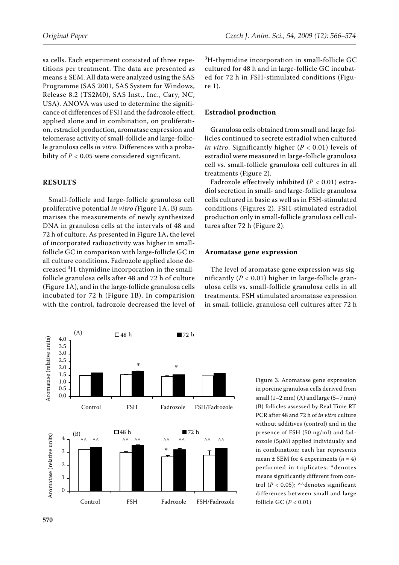sa cells. Each experiment consisted of three repetitions per treatment. The data are presented as means ± SEM. All data were analyzed using the SAS Programme (SAS 2001, SAS System for Windows, Release 8.2 (TS2M0), SAS Inst., Inc., Cary, NC, USA). ANOVA was used to determine the significance of differences of FSH and the fadrozole effect, applied alone and in combination, on proliferation, estradiol production, aromatase expression and telomerase activity of small-follicle and large-follicle granulosa cells *in vitro*. Differences with a probability of  $P < 0.05$  were considered significant.

#### **RESULTS**

Small-follicle and large-follicle granulosa cell proliferative potential *in vitro (*Figure 1A, B) summarises the measurements of newly synthesized DNA in granulosa cells at the intervals of 48 and 72 h of culture. As presented in Figure 1A, the level of incorporated radioactivity was higher in smallfollicle GC in comparison with large-follicle GC in all culture conditions. Fadrozole applied alone decreased <sup>3</sup> H-thymidine incorporation in the smallfollicle granulosa cells after 48 and 72 h of culture (Figure 1A), and in the large-follicle granulosa cells incubated for 72 h (Figure 1B). In comparision with the control, fadrozole decreased the level of

(A) 48 h **12** h 4.0 Aromatase (relative units) Aromatase (relative units) 3.5 3.0 2.5 \* \*2.0 \* 1.5 1.0 0.5 0.0 Control FSH Fadrozole FSH/Fadrozole  $172h$  $\Box$  48 h (B)  $\Box$  48 h 72 h Aromatase (relative units) Aromatase (relative units) 4 ^^ ^^ ^^ ^^ ^^ ^^ ^^ ^^ \*\* 3 2 1  $\theta$ Control FSH Fadrozole FSH/Fadrozole

3 H-thymidine incorporation in small-follicle GC cultured for 48 h and in large-follicle GC incubated for 72 h in FSH-stimulated conditions (Figure 1).

#### **Estradiol production**

Granulosa cells obtained from small and large follicles continued to secrete estradiol when cultured *in vitro*. Significantly higher (*P* < 0.01) levels of estradiol were measured in large-follicle granulosa cell vs. small-follicle granulosa cell cultures in all treatments (Figure 2).

Fadrozole effectively inhibited (*P* < 0.01) estradiol secretion in small- and large-follicle granulosa cells cultured in basic as well as in FSH-stimulated conditions (Figures 2). FSH-stimulated estradiol production only in small-follicle granulosa cell cultures after 72 h (Figure 2).

## **Aromatase gene expression**

The level of aromatase gene expression was significantly (*P* < 0.01) higher in large-follicle granulosa cells vs. small-follicle granulosa cells in all treatments. FSH stimulated aromatase expression in small-follicle, granulosa cell cultures after 72 h

> Figure 3. Aromatase gene expression in porcine granulosa cells derived from small  $(1-2$  mm)  $(A)$  and large  $(5-7$  mm) (B) follicles assessed by Real Time RT PCR after 48 and 72 h of *in vitro* culture without additives (control) and in the presence of FSH (50 ng/ml) and fadrozole (5µM) applied individually and in combination; each bar represents mean  $\pm$  SEM for 4 experiments ( $n = 4$ ) performed in triplicates; \*denotes means significantly different from control ( $P < 0.05$ ); ^^denotes significant differences between small and large follicle GC (*P* < 0.01)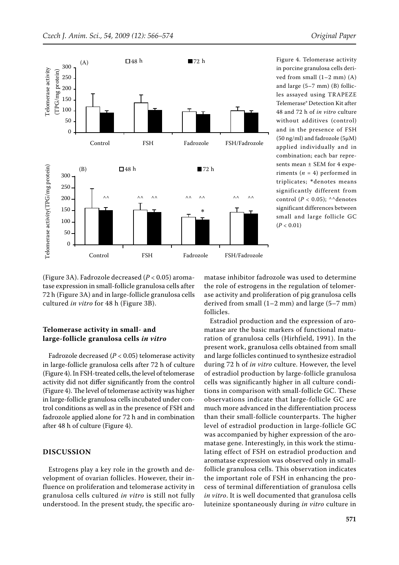

Figure 4. Telomerase activity in porcine granulosa cells derived from small  $(1-2$  mm $)$   $(A)$ and large (5–7 mm) (B) follicles assayed using TRAPEZE Telemerase® Detection Kit after 48 and 72 h of *in vitro* culture without additives (control) and in the presence of FSH (50 ng/ml) and fadrozole (5µM) applied individually and in combination; each bar represents mean ± SEM for 4 experiments  $(n = 4)$  performed in triplicates; \*denotes means significantly different from control ( $P < 0.05$ ); ^^denotes significant differences between small and large follicle GC  $(P < 0.01)$ 

(Figure 3A). Fadrozole decreased (*P* < 0.05) aromatase expression in small-follicle granulosa cells after 72 h (Figure 3A) and in large-follicle granulosa cells cultured *in vitro* for 48 h (Figure 3B).

# **Telomerase activity in small- and large-follicle granulosa cells** *in vitro*

Fadrozole decreased (*P* < 0.05) telomerase activity in large-follicle granulosa cells after 72 h of culture (Figure 4). In FSH-treated cells, the level of telomerase activity did not differ significantly from the control (Figure 4). The level of telomerase activity was higher in large-follicle granulosa cells incubated under control conditions as well as in the presence of FSH and fadrozole applied alone for 72 h and in combination after 48 h of culture (Figure 4).

## **DISCUSSION**

Estrogens play a key role in the growth and development of ovarian follicles. However, their influence on proliferation and telomerase activity in granulosa cells cultured *in vitro* is still not fully understood. In the present study, the specific aromatase inhibitor fadrozole was used to determine the role of estrogens in the regulation of telomerase activity and proliferation of pig granulosa cells derived from small (1–2 mm) and large (5–7 mm) follicles.

Estradiol production and the expression of aromatase are the basic markers of functional maturation of granulosa cells (Hirhfield, 1991). In the present work, granulosa cells obtained from small and large follicles continued to synthesize estradiol during 72 h of *in vitro* culture. However, the level of estradiol production by large-follicle granulosa cells was significantly higher in all culture conditions in comparison with small-follicle GC. These observations indicate that large-follicle GC are much more advanced in the differentiation process than their small-follicle counterparts. The higher level of estradiol production in large-follicle GC was accompanied by higher expression of the aromatase gene. Interestingly, in this work the stimulating effect of FSH on estradiol production and aromatase expression was observed only in smallfollicle granulosa cells. This observation indicates the important role of FSH in enhancing the process of terminal differentiation of granulosa cells *in vitro*. It is well documented that granulosa cells luteinize spontaneously during *in vitro* culture in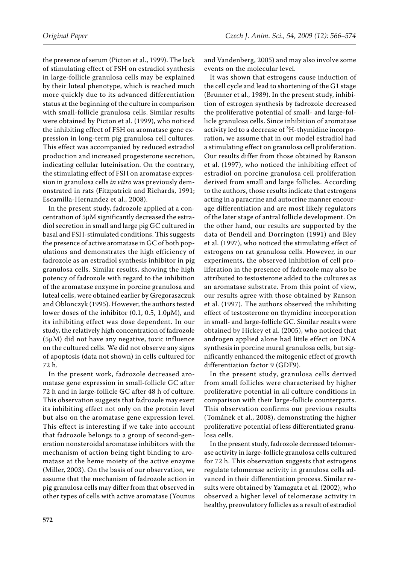the presence of serum (Picton et al., 1999). The lack of stimulating effect of FSH on estradiol synthesis in large-follicle granulosa cells may be explained by their luteal phenotype, which is reached much more quickly due to its advanced differentiation status at the beginning of the culture in comparison with small-follicle granulosa cells. Similar results were obtained by Picton et al. (1999), who noticed the inhibiting effect of FSH on aromatase gene expression in long-term pig granulosa cell cultures. This effect was accompanied by reduced estradiol production and increased progesterone secretion, indicating cellular luteinisation. On the contrary, the stimulating effect of FSH on aromatase expression in granulosa cells *in vitro* was previously demonstrated in rats (Fitzpatrick and Richards, 1991; Escamilla-Hernandez et al., 2008).

In the present study, fadrozole applied at a concentration of 5µM significantly decreased the estradiol secretion in small and large pig GC cultured in basal and FSH-stimulated conditions. This suggests the presence of active aromatase in GC of both populations and demonstrates the high efficiency of fadrozole as an estradiol synthesis inhibitor in pig granulosa cells. Similar results, showing the high potency of fadrozole with regard to the inhibition of the aromatase enzyme in porcine granulosa and luteal cells, were obtained earlier by Gregoraszczuk and Oblonczyk (1995). However, the authors tested lower doses of the inhibitor (0.1, 0.5, 1.0µM), and its inhibiting effect was dose dependent. In our study, the relatively high concentration of fadrozole (5µM) did not have any negative, toxic influence on the cultured cells. We did not observe any signs of apoptosis (data not shown) in cells cultured for 72 h.

In the present work, fadrozole decreased aromatase gene expression in small-follicle GC after 72 h and in large-follicle GC after 48 h of culture. This observation suggests that fadrozole may exert its inhibiting effect not only on the protein level but also on the aromatase gene expression level. This effect is interesting if we take into account that fadrozole belongs to a group of second-generation nonsteroidal aromatase inhibitors with the mechanism of action being tight binding to aromatase at the heme moiety of the active enzyme (Miller, 2003). On the basis of our observation, we assume that the mechanism of fadrozole action in pig granulosa cells may differ from that observed in other types of cells with active aromatase (Younus

and Vandenberg, 2005) and may also involve some events on the molecular level.

It was shown that estrogens cause induction of the cell cycle and lead to shortening of the G1 stage (Brunner et al., 1989). In the present study, inhibition of estrogen synthesis by fadrozole decreased the proliferative potential of small- and large-follicle granulosa cells. Since inhibition of aromatase activity led to a decrease of <sup>3</sup>H-thymidine incorporation, we assume that in our model estradiol had a stimulating effect on granulosa cell proliferation. Our results differ from those obtained by Ranson et al. (1997), who noticed the inhibiting effect of estradiol on porcine granulosa cell proliferation derived from small and large follicles. According to the authors, those results indicate that estrogens acting in a paracrine and autocrine manner encourage differentiation and are most likely regulators of the later stage of antral follicle development. On the other hand, our results are supported by the data of Bendell and Dorrington (1991) and Bley et al. (1997), who noticed the stimulating effect of estrogens on rat granulosa cells. However, in our experiments, the observed inhibition of cell proliferation in the presence of fadrozole may also be attributed to testosterone added to the cultures as an aromatase substrate. From this point of view, our results agree with those obtained by Ranson et al. (1997). The authors observed the inhibiting effect of testosterone on thymidine incorporation in small- and large-follicle GC. Similar results were obtained by Hickey et al. (2005), who noticed that androgen applied alone had little effect on DNA synthesis in porcine mural granulosa cells, but significantly enhanced the mitogenic effect of growth differentiation factor 9 (GDF9).

In the present study, granulosa cells derived from small follicles were characterised by higher proliferative potential in all culture conditions in comparison with their large-follicle counterparts. This observation confirms our previous results (Tománek et al., 2008), demonstrating the higher proliferative potential of less differentiated granulosa cells.

In the present study, fadrozole decreased telomerase activity in large-follicle granulosa cells cultured for 72 h. This observation suggests that estrogens regulate telomerase activity in granulosa cells advanced in their differentiation process. Similar results were obtained by Yamagata et al. (2002), who observed a higher level of telomerase activity in healthy, preovulatory follicles as a result of estradiol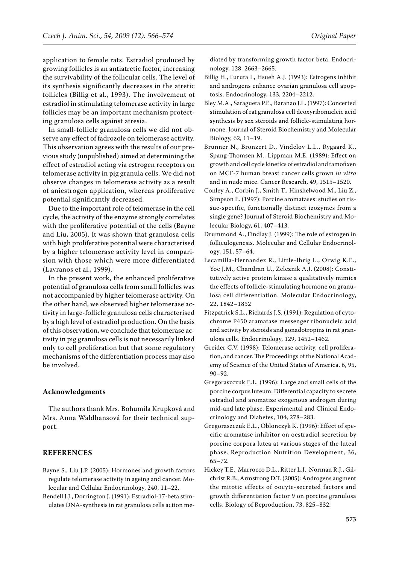application to female rats. Estradiol produced by growing follicles is an antiatretic factor, increasing the survivability of the follicular cells. The level of its synthesis significantly decreases in the atretic follicles (Billig et al., 1993). The involvement of estradiol in stimulating telomerase activity in large follicles may be an important mechanism protecting granulosa cells against atresia.

In small-follicle granulosa cells we did not observe any effect of fadrozole on telomerase activity. This observation agrees with the results of our previous study (unpublished) aimed at determining the effect of estradiol acting via estrogen receptors on telomerase activity in pig granula cells. We did not observe changes in telomerase activity as a result of aniestrogen application, whereas proliferative potential significantly decreased.

Due to the important role of telomerase in the cell cycle, the activity of the enzyme strongly correlates with the proliferative potential of the cells (Bayne and Liu, 2005). It was shown that granulosa cells with high proliferative potential were characterised by a higher telomerase activity level in comparision with those which were more differentiated (Lavranos et al., 1999).

In the present work, the enhanced proliferative potential of granulosa cells from small follicles was not accompanied by higher telomerase activity. On the other hand, we observed higher telomerase activity in large-follicle granulosa cells characterised by a high level of estradiol production. On the basis of this observation, we conclude that telomerase activity in pig granulosa cells is not necessarily linked only to cell proliferation but that some regulatory mechanisms of the differentiation process may also be involved.

# **Acknowledgments**

The authors thank Mrs. Bohumila Krupková and Mrs. Anna Waldhansová for their technical support.

# **REFERENCES**

- Bayne S., Liu J.P. (2005): Hormones and growth factors regulate telomerase activity in ageing and cancer. Molecular and Cellular Endocrinology, 240, 11–22.
- Bendell J.J., Dorrington J. (1991): Estradiol-17-beta stimulates DNA-synthesis in rat granulosa cells action me-

diated by transforming growth factor beta. Endocrinology, 128, 2663–2665.

- Billig H., Furuta I., Hsueh A.J. (1993): Estrogens inhibit and androgens enhance ovarian granulosa cell apoptosis. Endocrinology, 133, 2204–2212.
- Bley M.A., Saragueta P.E., Baranao J.L. (1997): Concerted stimulation of rat granulosa cell deoxyribonucleic acid synthesis by sex steroids and follicle-stimulating hormone. Journal of Steroid Biochemistry and Molecular Biology, 62, 11–19.
- Brunner N., Bronzert D., Vindelov L.L., Rygaard K., Spang-Thomsen M., Lippman M.E. (1989): Effect on growth and cell cycle kinetics of estradiol and tamofixen on MCF-7 human breast cancer cells grown *in vitro* and in nude mice. Cancer Research, 49, 1515–1520.
- Conley A., Corbin J., Smith T., Hinshelwood M., Liu Z., Simpson E. (1997): Porcine aromatases: studies on tissue-specific, functionally distinct izozymes from a single gene? Journal of Steroid Biochemistry and Molecular Biology, 61, 407–413.
- Drummond A., Findlay J. (1999): The role of estrogen in folliculogenesis. Molecular and Cellular Endocrinology, 151, 57–64.
- Escamilla-Hernandez R., Little-Ihrig L., Orwig K.E., Yoe J.M., Chandran U., Zeleznik A.J. (2008): Constitutively active protein kinase a qualitatively mimics the effects of follicle-stimulating hormone on granulosa cell differentiation. Molecular Endocrinology, 22, 1842–1852
- Fitzpatrick S.L., Richards J.S. (1991): Regulation of cytochrome P450 aramatase messenger ribonucleic acid and activity by steroids and gonadotropins in rat granulosa cells. Endocrinology, 129, 1452–1462.
- Greider C.V. (1998): Telomerase activity, cell proliferation, and cancer. The Proceedings of the National Academy of Science of the United States of America, 6, 95, 90–92.
- Gregoraszczuk E.L. (1996): Large and small cells of the porcine corpus luteum: Differential capacity to secrete estradiol and aromatize exogenous androgen during mid-and late phase. Experimental and Clinical Endocrinology and Diabetes, 104, 278–283.
- Gregoraszczuk E.L., Oblonczyk K. (1996): Effect of specific aromatase inhibitor on oestradiol secretion by porcine corpora lutea at various stages of the luteal phase. Reproduction Nutrition Development, 36, 65–72.
- Hickey T.E., Marrocco D.L., Ritter L.J., Norman R.J., Gilchrist R.B., Armstrong D.T. (2005): Androgens augment the mitotic effects of oocyte-secreted factors and growth differentiation factor 9 on porcine granulosa cells. Biology of Reproduction, 73, 825–832.